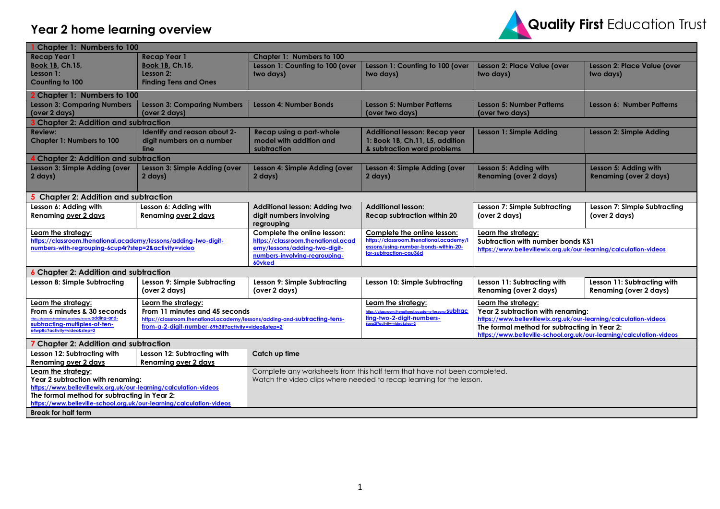## **Year 2 home learning overview**



| <b>Chapter 1: Numbers to 100</b>                                                                                        |                                                                            |                                                                                                                    |                                                                                                                  |                                  |  |  |
|-------------------------------------------------------------------------------------------------------------------------|----------------------------------------------------------------------------|--------------------------------------------------------------------------------------------------------------------|------------------------------------------------------------------------------------------------------------------|----------------------------------|--|--|
| <b>Recap Year 1</b><br><b>Recap Year 1</b>                                                                              | Chapter 1: Numbers to 100                                                  |                                                                                                                    |                                                                                                                  |                                  |  |  |
| <b>Book 1B, Ch.15,</b><br><b>Book 1B, Ch.15,</b>                                                                        | Lesson 1: Counting to 100 (over                                            | Lesson 1: Counting to 100 (over                                                                                    | Lesson 2: Place Value (over                                                                                      | Lesson 2: Place Value (over      |  |  |
| Lesson 1:<br>Lesson 2:                                                                                                  | two days)                                                                  | two days)                                                                                                          | two days)                                                                                                        | two days)                        |  |  |
| Counting to 100<br><b>Finding Tens and Ones</b>                                                                         |                                                                            |                                                                                                                    |                                                                                                                  |                                  |  |  |
| <b>Chapter 1: Numbers to 100</b>                                                                                        |                                                                            |                                                                                                                    |                                                                                                                  |                                  |  |  |
| <b>Lesson 3: Comparing Numbers</b><br><b>Lesson 3: Comparing Numbers</b>                                                | <b>Lesson 4: Number Bonds</b>                                              | <b>Lesson 5: Number Patterns</b>                                                                                   | <b>Lesson 5: Number Patterns</b>                                                                                 | <b>Lesson 6: Number Patterns</b> |  |  |
| (over 2 days)<br>(over 2 days)                                                                                          |                                                                            | (over two days)                                                                                                    | (over two days)                                                                                                  |                                  |  |  |
| <b>Chapter 2: Addition and subtraction</b>                                                                              |                                                                            |                                                                                                                    |                                                                                                                  |                                  |  |  |
| Identify and reason about 2-<br><b>Review:</b>                                                                          | Recap using a part-whole                                                   | <b>Additional lesson: Recap year</b>                                                                               | Lesson 1: Simple Adding                                                                                          | <b>Lesson 2: Simple Adding</b>   |  |  |
| digit numbers on a number<br><b>Chapter 1: Numbers to 100</b><br>line                                                   | model with addition and<br>subtraction                                     | 1: Book 1B, Ch.11, L5, addition<br>& subtraction word problems                                                     |                                                                                                                  |                                  |  |  |
| <b>Chapter 2: Addition and subtraction</b>                                                                              |                                                                            |                                                                                                                    |                                                                                                                  |                                  |  |  |
| Lesson 3: Simple Adding (over<br>Lesson 3: Simple Adding (over                                                          | Lesson 4: Simple Adding (over                                              | Lesson 4: Simple Adding (over                                                                                      | Lesson 5: Adding with                                                                                            | Lesson 5: Adding with            |  |  |
| 2 days)<br>2 days)                                                                                                      | 2 days)                                                                    | 2 days)                                                                                                            | <b>Renaming (over 2 days)</b>                                                                                    | <b>Renaming (over 2 days)</b>    |  |  |
|                                                                                                                         |                                                                            |                                                                                                                    |                                                                                                                  |                                  |  |  |
| 5 Chapter 2: Addition and subtraction                                                                                   |                                                                            |                                                                                                                    |                                                                                                                  |                                  |  |  |
| Lesson 6: Adding with<br>Lesson 6: Adding with                                                                          | Additional lesson: Adding two                                              | <b>Additional lesson:</b>                                                                                          | Lesson 7: Simple Subtracting                                                                                     | Lesson 7: Simple Subtracting     |  |  |
| Renaming over 2 days<br>Renaming over 2 days                                                                            | digit numbers involving                                                    | <b>Recap subtraction within 20</b>                                                                                 | (over 2 days)                                                                                                    | (over 2 days)                    |  |  |
|                                                                                                                         | regrouping                                                                 |                                                                                                                    |                                                                                                                  |                                  |  |  |
| Learn the strategy:                                                                                                     | Complete the online lesson:                                                | Complete the online lesson:                                                                                        | Learn the strategy:                                                                                              |                                  |  |  |
| https://classroom.thenational.academy/lessons/adding-two-digit-<br>numbers-with-regrouping-6cup4r?step=2&activity=video | https://classroom.thenational.acad<br>emy/lessons/adding-two-digit-        | https://classroom.thenational.academy/l<br>essons/using-number-bonds-within-20-                                    | Subtraction with number bonds KS1<br>https://www.bellevillewix.org.uk/our-learning/calculation-videos            |                                  |  |  |
|                                                                                                                         | numbers-involving-regrouping-                                              | for-subtraction-cgu36d                                                                                             |                                                                                                                  |                                  |  |  |
|                                                                                                                         | 60vked                                                                     |                                                                                                                    |                                                                                                                  |                                  |  |  |
| <b>Chapter 2: Addition and subtraction</b>                                                                              |                                                                            |                                                                                                                    |                                                                                                                  |                                  |  |  |
| Lesson 8: Simple Subtracting<br>Lesson 9: Simple Subtracting                                                            | Lesson 9: Simple Subtracting                                               | Lesson 10: Simple Subtracting                                                                                      | Lesson 11: Subtracting with                                                                                      | Lesson 11: Subtracting with      |  |  |
| (over 2 days)                                                                                                           | (over 2 days)                                                              |                                                                                                                    | Renaming (over 2 days)                                                                                           | <b>Renaming (over 2 days)</b>    |  |  |
| Learn the strategy:<br>Learn the strategy:                                                                              |                                                                            | Learn the strategy:                                                                                                | Learn the strategy:                                                                                              |                                  |  |  |
| From 6 minutes & 30 seconds<br>From 11 minutes and 45 seconds                                                           |                                                                            | https://classroom.thenational.academy/lessons/SUbtrac<br>ting-two-2-digit-numbers-<br>6gup2t?activity=video&step=2 | Year 2 subtraction with renaming:                                                                                |                                  |  |  |
| subtracting-multiples-of-ten-<br>from-a-2-digit-number-69h3jt?activity=video&step=2                                     | https://classroom.thenational.academy/lessons/adding-and-subtracting-tens- |                                                                                                                    | https://www.bellevillewix.org.uk/our-learning/calculation-videos<br>The formal method for subtracting in Year 2: |                                  |  |  |
| 64wp8c?activity=video&step=2                                                                                            |                                                                            |                                                                                                                    | https://www.belleville-school.org.uk/our-learning/calculation-videos                                             |                                  |  |  |
| 7 Chapter 2: Addition and subtraction                                                                                   |                                                                            |                                                                                                                    |                                                                                                                  |                                  |  |  |
| Lesson 12: Subtracting with<br>Lesson 12: Subtracting with                                                              | Catch up time                                                              |                                                                                                                    |                                                                                                                  |                                  |  |  |
| Renaming over 2 days<br><b>Renaming over 2 days</b>                                                                     |                                                                            |                                                                                                                    |                                                                                                                  |                                  |  |  |
| Learn the strategy:                                                                                                     | Complete any worksheets from this half term that have not been completed.  |                                                                                                                    |                                                                                                                  |                                  |  |  |
| Year 2 subtraction with renaming:<br>Watch the video clips where needed to recap learning for the lesson.               |                                                                            |                                                                                                                    |                                                                                                                  |                                  |  |  |
| https://www.bellevillewix.org.uk/our-learning/calculation-videos<br>The formal method for subtracting in Year 2:        |                                                                            |                                                                                                                    |                                                                                                                  |                                  |  |  |
| https://www.belleville-school.org.uk/our-learning/calculation-videos                                                    |                                                                            |                                                                                                                    |                                                                                                                  |                                  |  |  |
| <b>Break for half term</b>                                                                                              |                                                                            |                                                                                                                    |                                                                                                                  |                                  |  |  |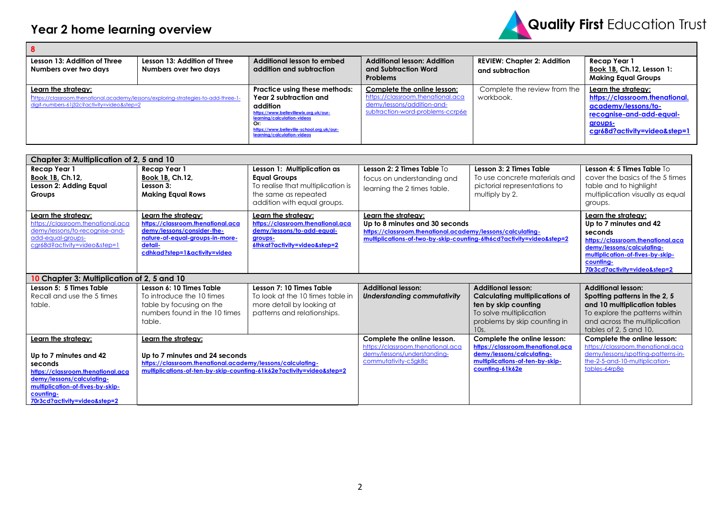

| l 8                                                                                                                                                     |                                                       |                                                                                                                                                                                                                                |                                                                                                                                    |                                                       |                                                                                                                                                     |  |
|---------------------------------------------------------------------------------------------------------------------------------------------------------|-------------------------------------------------------|--------------------------------------------------------------------------------------------------------------------------------------------------------------------------------------------------------------------------------|------------------------------------------------------------------------------------------------------------------------------------|-------------------------------------------------------|-----------------------------------------------------------------------------------------------------------------------------------------------------|--|
| Lesson 13: Addition of Three<br>Numbers over two days                                                                                                   | Lesson 13: Addition of Three<br>Numbers over two days | Additional lesson to embed<br>addition and subtraction                                                                                                                                                                         | <b>Additional lesson: Addition</b><br>and Subtraction Word<br><b>Problems</b>                                                      | <b>REVIEW: Chapter 2: Addition</b><br>and subtraction | Recap Year 1<br>Book 1B, Ch.12, Lesson 1:<br><b>Making Equal Groups</b>                                                                             |  |
| Learn the strategy:<br>https://classroom.thenational.academy/lessons/exploring-strategies-to-add-three-1-<br>digit-numbers-61j32c?activity=video&step=2 |                                                       | Practice using these methods:<br>Year 2 subtraction and<br>addition<br>https://www.bellevillewix.org.uk/our-<br>learning/calculation-videos<br>Or:<br>https://www.belleville-school.org.uk/our-<br>learning/calculation-videos | Complete the online lesson:<br>https://classroom.thenational.aca<br>demy/lessons/addition-and-<br>subtraction-word-problems-ccrp6e | Complete the review from the<br>workbook.             | Learn the strateav:<br>https://classroom.thenational.<br>academy/lessons/to-<br>recognise-and-add-equal-<br>groups-<br>cgr68d?activity=video&step=1 |  |

| Chapter 3: Multiplication of 2, 5 and 10                                                                                                                                                                    |                                                                                                                                                                                             |                                                                                                                                                |                                                                                                                                                                                             |                                                                                                                                                               |                                                                                                                                                                                                             |  |
|-------------------------------------------------------------------------------------------------------------------------------------------------------------------------------------------------------------|---------------------------------------------------------------------------------------------------------------------------------------------------------------------------------------------|------------------------------------------------------------------------------------------------------------------------------------------------|---------------------------------------------------------------------------------------------------------------------------------------------------------------------------------------------|---------------------------------------------------------------------------------------------------------------------------------------------------------------|-------------------------------------------------------------------------------------------------------------------------------------------------------------------------------------------------------------|--|
| <b>Recap Year 1</b><br>Book 1B, Ch.12,<br>Lesson 2: Adding Equal<br>Groups                                                                                                                                  | <b>Recap Year 1</b><br>Book 1B, Ch.12,<br>Lesson 3:<br><b>Making Equal Rows</b>                                                                                                             | Lesson 1: Multiplication as<br><b>Equal Groups</b><br>To realise that multiplication is<br>the same as repeated<br>addition with equal groups. | Lesson 2: 2 Times Table To<br>focus on understanding and<br>learning the 2 times table.                                                                                                     | Lesson 3: 2 Times Table<br>To use concrete materials and<br>pictorial representations to<br>multiply by 2.                                                    | Lesson 4: 5 Times Table To<br>cover the basics of the 5 times<br>table and to highlight<br>multiplication visually as equal<br>groups.                                                                      |  |
| Learn the strategy:<br>https://classroom.thenational.aca<br>demy/lessons/to-recognise-and-<br>add-equal-groups-<br>cgr68d?activity=video&step=1                                                             | Learn the strategy:<br>https://classroom.thenational.aca<br>demy/lessons/consider-the-<br>nature-of-equal-groups-in-more-<br>detail-<br>cdhkad?step=1&activity=video                        | Learn the strategy:<br>https://classroom.thenational.aca<br>demy/lessons/to-add-equal-<br>groups-<br>6thkat?activity=video&step=2              | Learn the strategy:<br>Up to 8 minutes and 30 seconds<br>https://classroom.thenational.academy/lessons/calculating-<br>multiplications-of-two-by-skip-counting-6th6cd?activity=video&step=2 |                                                                                                                                                               | Learn the strategy:<br>Up to 7 minutes and 42<br>seconds<br>https://classroom.thenational.aca<br>demy/lessons/calculating-<br>multiplication-of-fives-by-skip-<br>counting-<br>70r3cd?activity=video&step=2 |  |
|                                                                                                                                                                                                             | 10 Chapter 3: Multiplication of 2, 5 and 10                                                                                                                                                 |                                                                                                                                                |                                                                                                                                                                                             |                                                                                                                                                               |                                                                                                                                                                                                             |  |
| Lesson 5: 5 Times Table<br>Recall and use the 5 times<br>table.                                                                                                                                             | Lesson 6: 10 Times Table<br>To introduce the 10 times<br>table by focusing on the<br>numbers found in the 10 times<br>table.                                                                | Lesson 7: 10 Times Table<br>To look at the 10 times table in<br>more detail by looking at<br>patterns and relationships.                       | <b>Additional lesson:</b><br><b>Understanding commutativity</b>                                                                                                                             | <b>Additional lesson:</b><br><b>Calculating multiplications of</b><br>ten by skip counting<br>To solve multiplication<br>problems by skip counting in<br>10s. | <b>Additional lesson:</b><br>Spotting patterns in the 2, 5<br>and 10 multiplication tables<br>To explore the patterns within<br>and across the multiplication<br>tables of 2, 5 and 10.                     |  |
| Learn the strategy:<br>Up to 7 minutes and 42<br>seconds<br>https://classroom.thenational.aca<br>demy/lessons/calculating-<br>multiplication-of-fives-by-skip-<br>counting-<br>70r3cd?activity=video&step=2 | Learn the strategy:<br>Up to 7 minutes and 24 seconds<br>https://classroom.thenational.academy/lessons/calculating-<br>multiplications-of-ten-by-skip-counting-61k62e?activity=video&step=2 |                                                                                                                                                | Complete the online lesson.<br>https://classroom.thenational.aca<br>demy/lessons/understanding-<br>commutativity-c5gk8c                                                                     | Complete the online lesson:<br>https://classroom.thenational.aca<br>demy/lessons/calculating-<br>multiplications-of-ten-by-skip-<br>counting-61k62e           | Complete the online lesson:<br>https://classroom.thenational.aca<br>demy/lessons/spotting-patterns-in-<br>the-2-5-and-10-multiplication-<br>tables-64rp8e                                                   |  |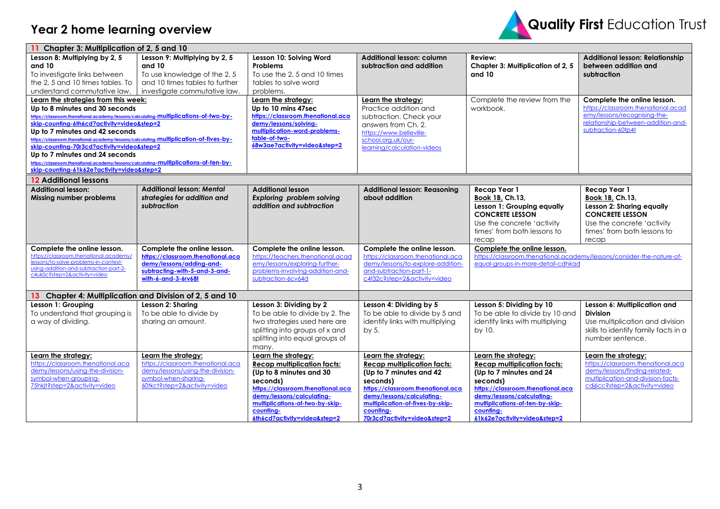## **Year 2 home learning overview**



| 11 Chapter 3: Multiplication of 2, 5 and 10                                                                                                                                                                                                                                                                                                                                                                                                                                                                                                                   |                                                                                                                                                      |                                                                                                                                                                                                                                                    |                                                                                                                                                                                                                                                     |                                                                                                                                                                                                                                                    |                                                                                                                                                                 |  |
|---------------------------------------------------------------------------------------------------------------------------------------------------------------------------------------------------------------------------------------------------------------------------------------------------------------------------------------------------------------------------------------------------------------------------------------------------------------------------------------------------------------------------------------------------------------|------------------------------------------------------------------------------------------------------------------------------------------------------|----------------------------------------------------------------------------------------------------------------------------------------------------------------------------------------------------------------------------------------------------|-----------------------------------------------------------------------------------------------------------------------------------------------------------------------------------------------------------------------------------------------------|----------------------------------------------------------------------------------------------------------------------------------------------------------------------------------------------------------------------------------------------------|-----------------------------------------------------------------------------------------------------------------------------------------------------------------|--|
| Lesson 8: Multiplying by 2, 5<br>and 10<br>To investigate links between<br>the 2, 5 and 10 times tables. To<br>understand commutative law.                                                                                                                                                                                                                                                                                                                                                                                                                    | Lesson 9: Multiplying by 2, 5<br>and 10<br>To use knowledge of the 2, 5<br>and 10 times tables to further<br>investigate commutative law.            | Lesson 10: Solving Word<br>Problems<br>To use the 2, 5 and 10 times<br>tables to solve word<br>problems.                                                                                                                                           | <b>Additional lesson: column</b><br>subtraction and addition                                                                                                                                                                                        | Review:<br>Chapter 3: Multiplication of 2, 5<br>and 10                                                                                                                                                                                             | <b>Additional lesson: Relationship</b><br>between addition and<br>subtraction                                                                                   |  |
| Learn the strategies from this week:<br>Up to 8 minutes and 30 seconds<br>https://classroom.thenational.academy/lessons/calculating-multiplications-of-two-by-<br>skip-counting-6th6cd?activity=video&step=2<br>Up to 7 minutes and 42 seconds<br>https://classroom.thenational.academy/lessons/calculating-multiplication-of-fives-by-<br>skip-counting-70r3cd?activity=video&step=2<br>Up to 7 minutes and 24 seconds<br>https://classroom.thenational.academy/lessons/calculating-multiplications-of-ten-by-<br>skip-counting-61k62e?activity=video&step=2 |                                                                                                                                                      | Learn the strategy:<br>Up to 10 mins 47sec<br>https://classroom.thenational.aca<br>demy/lessons/solving-<br>multiplication-word-problems-<br>table-of-two-<br>68w3ae?activity=video&step=2                                                         | Learn the strategy:<br>Practice addition and<br>subtraction. Check your<br>answers from Ch. 2.<br>https://www.belleville-<br>school.org.uk/our-<br>learning/calculation-videos                                                                      | Complete the review from the<br>workbook.                                                                                                                                                                                                          | Complete the online lesson.<br>https://classroom.thenational.acad<br>emy/lessons/recognising-the-<br>relationship-between-addition-and-<br>subtraction-60tp4t   |  |
| <b>12 Additional lessons</b>                                                                                                                                                                                                                                                                                                                                                                                                                                                                                                                                  |                                                                                                                                                      |                                                                                                                                                                                                                                                    |                                                                                                                                                                                                                                                     |                                                                                                                                                                                                                                                    |                                                                                                                                                                 |  |
| <b>Additional lesson:</b><br>Missing number problems                                                                                                                                                                                                                                                                                                                                                                                                                                                                                                          | <b>Additional lesson: Mental</b><br>strategies for addition and<br>subtraction                                                                       | <b>Additional lesson</b><br>Exploring problem solving<br>addition and subtraction                                                                                                                                                                  | <b>Additional lesson: Reasoning</b><br>about addition                                                                                                                                                                                               | <b>Recap Year 1</b><br>Book 1B, Ch.13,<br>Lesson 1: Grouping equally<br><b>CONCRETE LESSON</b><br>Use the concrete 'activity<br>times' from both lessons to<br>recap                                                                               | Recap Year 1<br>Book 1B, Ch.13,<br>Lesson 2: Sharing equally<br><b>CONCRETE LESSON</b><br>Use the concrete 'activity<br>times' from both lessons to<br>recap    |  |
| Complete the online lesson.<br>https://classroom.thenational.academy/<br>lessons/to-solve-problems-in-context-<br>using-addition-and-subtraction-part-2-<br>c4uk0c?step=2&activity=video                                                                                                                                                                                                                                                                                                                                                                      | Complete the online lesson.<br>https://classroom.thenational.aca<br>demy/lessons/adding-and-<br>subtracting-with-5-and-3-and-<br>with-6-and-3-6rv68t | Complete the online lesson.<br>https://teachers.thenational.acad<br>emy/lessons/exploring-further-<br>problems-involving-addition-and-<br>subtraction-6cv64d                                                                                       | Complete the online lesson.<br>https://classroom.thenational.aca<br>demy/lessons/to-explore-addition-<br>and-subtraction-part-1-<br>c4t32c?step=2&activity=video                                                                                    | Complete the online lesson.<br>https://classroom.thenational.academy/lessons/consider-the-nature-of-<br>equal-groups-in-more-detail-cdhkad                                                                                                         |                                                                                                                                                                 |  |
| 13 Chapter 4: Multiplication and Division of 2, 5 and 10                                                                                                                                                                                                                                                                                                                                                                                                                                                                                                      |                                                                                                                                                      |                                                                                                                                                                                                                                                    |                                                                                                                                                                                                                                                     |                                                                                                                                                                                                                                                    |                                                                                                                                                                 |  |
| Lesson 1: Grouping<br>To understand that grouping is<br>a way of dividing.                                                                                                                                                                                                                                                                                                                                                                                                                                                                                    | Lesson 2: Sharing<br>To be able to divide by<br>sharing an amount.                                                                                   | Lesson 3: Dividing by 2<br>To be able to divide by 2. The<br>two strategies used here are<br>splitting into groups of x and<br>splitting into equal groups of<br>many.                                                                             | Lesson 4: Dividing by 5<br>To be able to divide by 5 and<br>identify links with multiplying<br>by 5.                                                                                                                                                | Lesson 5: Dividing by 10<br>To be able to divide by 10 and<br>identify links with multiplying<br>by 10.                                                                                                                                            | Lesson 6: Multiplication and<br><b>Division</b><br>Use multiplication and division<br>skills to identify family facts in a<br>number sentence.                  |  |
| Learn the strategy:<br>https://classroom.thenational.aca<br>demy/lessons/using-the-division-<br>symbol-when-grouping-<br>75hkjt?step=2&activity=video                                                                                                                                                                                                                                                                                                                                                                                                         | Learn the strategy:<br>https://classroom.thenational.aca<br>demy/lessons/using-the-division-<br>symbol-when-sharing-<br>60tkct?step=2&activity=video | Learn the strategy:<br><b>Recap multiplication facts:</b><br>(Up to 8 minutes and 30<br>seconds)<br>https://classroom.thenational.aca<br>demy/lessons/calculating-<br>multiplications-of-two-by-skip-<br>counting-<br>6th6cd?activity=video&step=2 | Learn the strategy:<br><b>Recap multiplication facts:</b><br>(Up to 7 minutes and 42<br>seconds)<br>https://classroom.thenational.aca<br>demy/lessons/calculating-<br>multiplication-of-fives-by-skip-<br>counting-<br>70r3cd?activity=video&step=2 | Learn the strategy:<br><b>Recap multiplication facts:</b><br>(Up to 7 minutes and 24<br>seconds)<br>https://classroom.thenational.aca<br>demy/lessons/calculating-<br>multiplications-of-ten-by-skip-<br>counting-<br>61k62e?activity=video&step=2 | Learn the strategy:<br>https://classroom.thenational.aca<br>demy/lessons/finding-related-<br>multiplication-and-division-facts-<br>cdj6cc?step=2&activity=video |  |